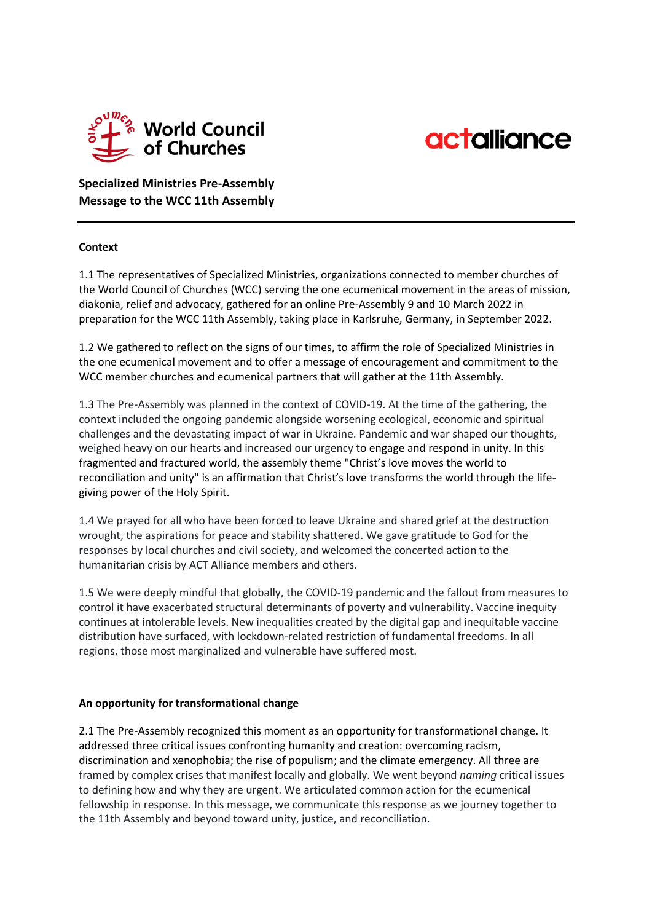



**Specialized Ministries Pre-Assembly Message to the WCC 11th Assembly**

## **Context**

1.1 The representatives of Specialized Ministries, organizations connected to member churches of the World Council of Churches (WCC) serving the one ecumenical movement in the areas of mission, diakonia, relief and advocacy, gathered for an online Pre-Assembly 9 and 10 March 2022 in preparation for the WCC 11th Assembly, taking place in Karlsruhe, Germany, in September 2022.

1.2 We gathered to reflect on the signs of our times, to affirm the role of Specialized Ministries in the one ecumenical movement and to offer a message of encouragement and commitment to the WCC member churches and ecumenical partners that will gather at the 11th Assembly.

1.3 The Pre-Assembly was planned in the context of COVID-19. At the time of the gathering, the context included the ongoing pandemic alongside worsening ecological, economic and spiritual challenges and the devastating impact of war in Ukraine. Pandemic and war shaped our thoughts, weighed heavy on our hearts and increased our urgency to engage and respond in unity. In this fragmented and fractured world, the assembly theme "Christ's love moves the world to reconciliation and unity" is an affirmation that Christ's love transforms the world through the lifegiving power of the Holy Spirit.

1.4 We prayed for all who have been forced to leave Ukraine and shared grief at the destruction wrought, the aspirations for peace and stability shattered. We gave gratitude to God for the responses by local churches and civil society, and welcomed the concerted action to the humanitarian crisis by ACT Alliance members and others.

1.5 We were deeply mindful that globally, the COVID-19 pandemic and the fallout from measures to control it have exacerbated structural determinants of poverty and vulnerability. Vaccine inequity continues at intolerable levels. New inequalities created by the digital gap and inequitable vaccine distribution have surfaced, with lockdown-related restriction of fundamental freedoms. In all regions, those most marginalized and vulnerable have suffered most.

## **An opportunity for transformational change**

2.1 The Pre-Assembly recognized this moment as an opportunity for transformational change. It addressed three critical issues confronting humanity and creation: overcoming racism, discrimination and xenophobia; the rise of populism; and the climate emergency. All three are framed by complex crises that manifest locally and globally. We went beyond *naming* critical issues to defining how and why they are urgent. We articulated common action for the ecumenical fellowship in response. In this message, we communicate this response as we journey together to the 11th Assembly and beyond toward unity, justice, and reconciliation.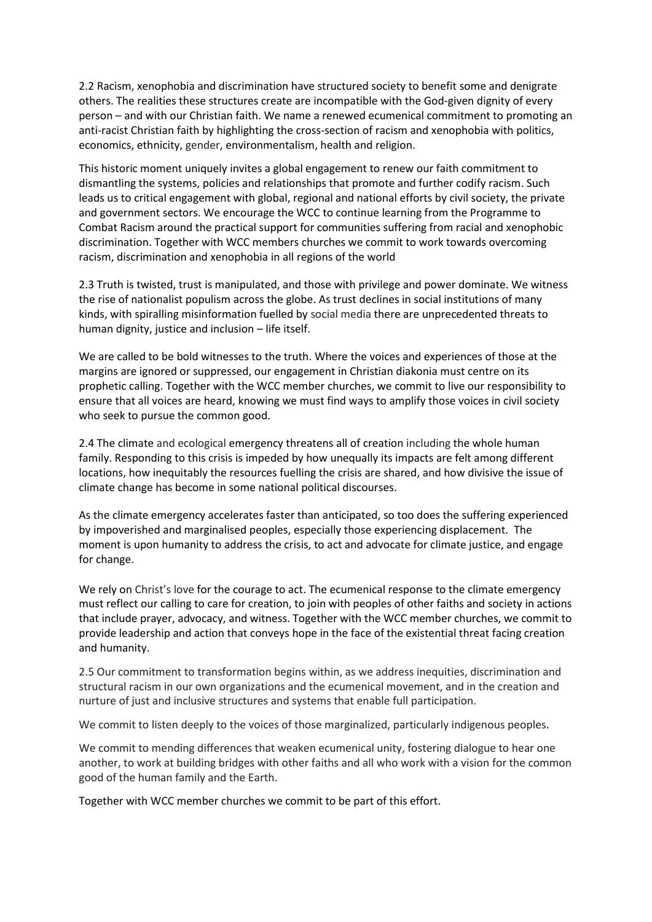2.2 Racism, xenophobia and discrimination have structured society to benefit some and denigrate others. The realities these structures create are incompatible with the God-given dignity of every person – and with our Christian faith. We name a renewed ecumenical commitment to promoting an anti-racist Christian faith by highlighting the cross-section of racism and xenophobia with politics, economics, ethnicity, gender, environmentalism, health and religion.

This historic moment uniquely invites a global engagement to renew our faith commitment to dismantling the systems, policies and relationships that promote and further codify racism. Such leads us to critical engagement with global, regional and national efforts by civil society, the private and government sectors. We encourage the WCC to continue learning from the Programme to Combat Racism around the practical support for communities suffering from racial and xenophobic discrimination. Together with WCC members churches we commit to work towards overcoming racism, discrimination and xenophobia in all regions of the world

2.3 Truth is twisted, trust is manipulated, and those with privilege and power dominate. We witness the rise of nationalist populism across the globe. As trust declines in social institutions of many kinds, with spiralling misinformation fuelled by social media there are unprecedented threats to human dignity, justice and inclusion – life itself.

We are called to be bold witnesses to the truth. Where the voices and experiences of those at the margins are ignored or suppressed, our engagement in Christian diakonia must centre on its prophetic calling. Together with the WCC member churches, we commit to live our responsibility to ensure that all voices are heard, knowing we must find ways to amplify those voices in civil society who seek to pursue the common good.

2.4 The climate and ecological emergency threatens all of creation including the whole human family. Responding to this crisis is impeded by how unequally its impacts are felt among different locations, how inequitably the resources fuelling the crisis are shared, and how divisive the issue of climate change has become in some national political discourses.

As the climate emergency accelerates faster than anticipated, so too does the suffering experienced by impoverished and marginalised peoples, especially those experiencing displacement. The moment is upon humanity to address the crisis, to act and advocate for climate justice, and engage for change.

We rely on Christ's love for the courage to act. The ecumenical response to the climate emergency must reflect our calling to care for creation, to join with peoples of other faiths and society in actions that include prayer, advocacy, and witness. Together with the WCC member churches, we commit to provide leadership and action that conveys hope in the face of the existential threat facing creation and humanity.

2.5 Our commitment to transformation begins within, as we address inequities, discrimination and structural racism in our own organizations and the ecumenical movement, and in the creation and nurture of just and inclusive structures and systems that enable full participation.

We commit to listen deeply to the voices of those marginalized, particularly indigenous peoples.

We commit to mending differences that weaken ecumenical unity, fostering dialogue to hear one another, to work at building bridges with other faiths and all who work with a vision for the common good of the human family and the Earth.

Together with WCC member churches we commit to be part of this effort.